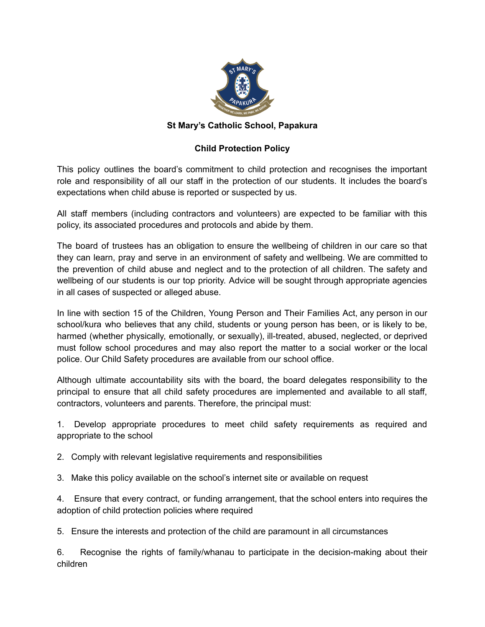

## **St Mary's Catholic School, Papakura**

## **Child Protection Policy**

This policy outlines the board's commitment to child protection and recognises the important role and responsibility of all our staff in the protection of our students. It includes the board's expectations when child abuse is reported or suspected by us.

All staff members (including contractors and volunteers) are expected to be familiar with this policy, its associated procedures and protocols and abide by them.

The board of trustees has an obligation to ensure the wellbeing of children in our care so that they can learn, pray and serve in an environment of safety and wellbeing. We are committed to the prevention of child abuse and neglect and to the protection of all children. The safety and wellbeing of our students is our top priority. Advice will be sought through appropriate agencies in all cases of suspected or alleged abuse.

In line with section 15 of the Children, Young Person and Their Families Act, any person in our school/kura who believes that any child, students or young person has been, or is likely to be, harmed (whether physically, emotionally, or sexually), ill-treated, abused, neglected, or deprived must follow school procedures and may also report the matter to a social worker or the local police. Our Child Safety procedures are available from our school office.

Although ultimate accountability sits with the board, the board delegates responsibility to the principal to ensure that all child safety procedures are implemented and available to all staff, contractors, volunteers and parents. Therefore, the principal must:

1. Develop appropriate procedures to meet child safety requirements as required and appropriate to the school

- 2. Comply with relevant legislative requirements and responsibilities
- 3. Make this policy available on the school's internet site or available on request

4. Ensure that every contract, or funding arrangement, that the school enters into requires the adoption of child protection policies where required

5. Ensure the interests and protection of the child are paramount in all circumstances

6. Recognise the rights of family/whanau to participate in the decision-making about their children